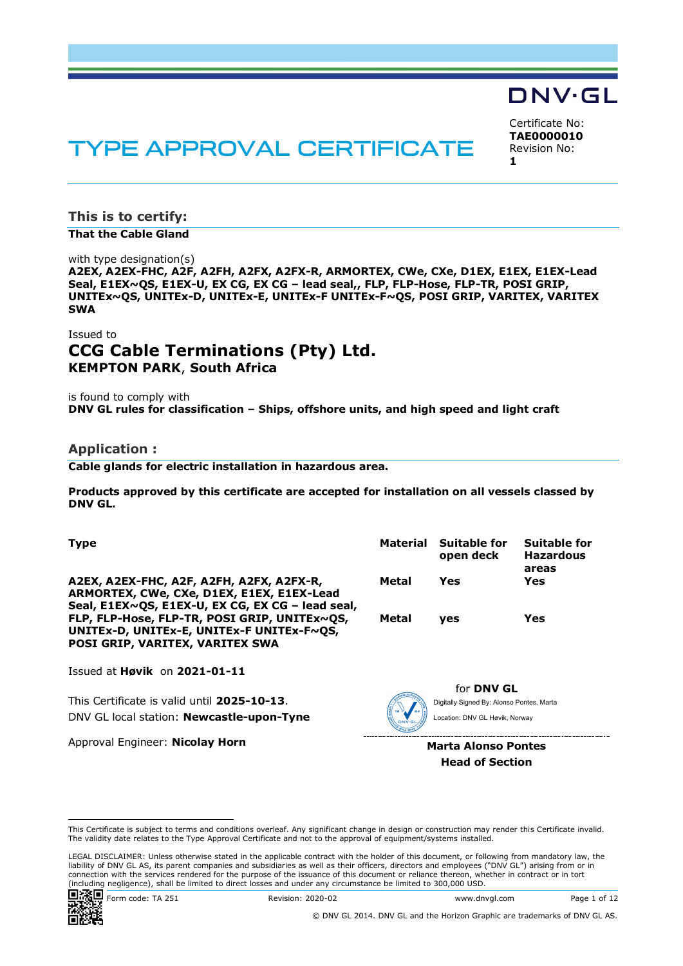# DNV·GL

# **TYPE APPROVAL CERTIFICATE**

Certificate No: **TAE0000010** Revision No: **1**

**This is to certify:**

**That the Cable Gland**

with type designation(s)

**A2EX, A2EX-FHC, A2F, A2FH, A2FX, A2FX-R, ARMORTEX, CWe, CXe, D1EX, E1EX, E1EX-Lead Seal, E1EX~QS, E1EX-U, EX CG, EX CG – lead seal,, FLP, FLP-Hose, FLP-TR, POSI GRIP, UNITEx~QS, UNITEx-D, UNITEx-E, UNITEx-F UNITEx-F~QS, POSI GRIP, VARITEX, VARITEX SWA**

# Issued to **CCG Cable Terminations (Pty) Ltd. KEMPTON PARK**, **South Africa**

is found to comply with **DNV GL rules for classification – Ships, offshore units, and high speed and light craft**

#### **Application :**

**Cable glands for electric installation in hazardous area.**

**Products approved by this certificate are accepted for installation on all vessels classed by DNV GL.**

| <b>Type</b>                                                                                                                               |              | Material Suitable for<br>open deck | Suitable for<br><b>Hazardous</b><br>areas |
|-------------------------------------------------------------------------------------------------------------------------------------------|--------------|------------------------------------|-------------------------------------------|
| A2EX, A2EX-FHC, A2F, A2FH, A2FX, A2FX-R,<br>ARMORTEX, CWe, CXe, D1EX, E1EX, E1EX-Lead<br>Seal, E1EX~QS, E1EX-U, EX CG, EX CG - lead seal, | Metal        | Yes                                | Yes                                       |
| FLP, FLP-Hose, FLP-TR, POSI GRIP, UNITEx~QS,<br>UNITEx-D, UNITEx-E, UNITEx-F UNITEx-F~QS,<br><b>POSI GRIP, VARITEX, VARITEX SWA</b>       | <b>Metal</b> | <b>ves</b>                         | Yes                                       |

Issued at **Høvik** on **2021-01-11**

This Certificate is valid until **2025-10-13**. DNV GL local station: **Newcastle-upon-Tyne**

Approval Engineer: **Nicolay Horn**



for **DNV GL** Digitally Signed By: Alonso Pontes, Marta Location: DNV GL Høvik, Norway

**Marta Alonso Pontes Head of Section**

LEGAL DISCLAIMER: Unless otherwise stated in the applicable contract with the holder of this document, or following from mandatory law, the liability of DNV GL AS, its parent companies and subsidiaries as well as their officers, directors and employees ("DNV GL") arising from or in connection with the services rendered for the purpose of the issuance of this document or reliance thereon, whether in contract or in tort (including negligence), shall be limited to direct losses and under any circumstance be limited to 300,000 USD.



Form code: TA 251 Revision: 2020-02 www.dnvgl.com Page 1 of 12

© DNV GL 2014. DNV GL and the Horizon Graphic are trademarks of DNV GL AS.

This Certificate is subject to terms and conditions overleaf. Any significant change in design or construction may render this Certificate invalid. The validity date relates to the Type Approval Certificate and not to the approval of equipment/systems installed.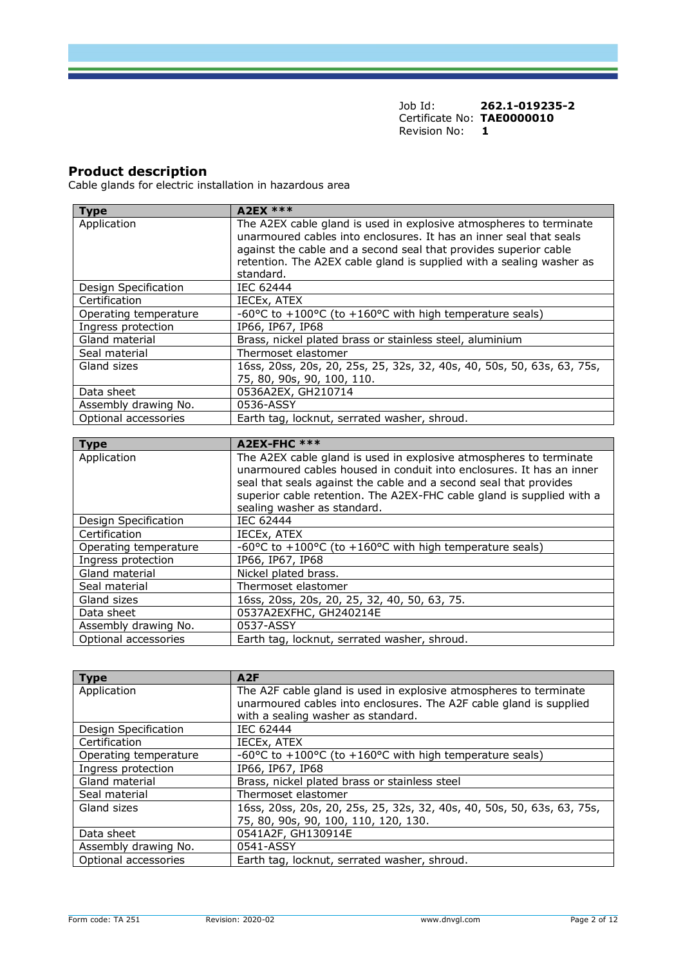### **Product description**

Cable glands for electric installation in hazardous area

| <b>Type</b>           | <b>A2EX ***</b>                                                                                                                                                                                                                                                                                   |
|-----------------------|---------------------------------------------------------------------------------------------------------------------------------------------------------------------------------------------------------------------------------------------------------------------------------------------------|
| Application           | The A2EX cable gland is used in explosive atmospheres to terminate<br>unarmoured cables into enclosures. It has an inner seal that seals<br>against the cable and a second seal that provides superior cable<br>retention. The A2EX cable gland is supplied with a sealing washer as<br>standard. |
| Design Specification  | IEC 62444                                                                                                                                                                                                                                                                                         |
| Certification         | IECEx, ATEX                                                                                                                                                                                                                                                                                       |
| Operating temperature | -60 $\degree$ C to +100 $\degree$ C (to +160 $\degree$ C with high temperature seals)                                                                                                                                                                                                             |
| Ingress protection    | IP66, IP67, IP68                                                                                                                                                                                                                                                                                  |
| Gland material        | Brass, nickel plated brass or stainless steel, aluminium                                                                                                                                                                                                                                          |
| Seal material         | Thermoset elastomer                                                                                                                                                                                                                                                                               |
| Gland sizes           | 16ss, 20ss, 20s, 20, 25s, 25, 32s, 32, 40s, 40, 50s, 50, 63s, 63, 75s,<br>75, 80, 90s, 90, 100, 110.                                                                                                                                                                                              |
| Data sheet            | 0536A2EX, GH210714                                                                                                                                                                                                                                                                                |
| Assembly drawing No.  | 0536-ASSY                                                                                                                                                                                                                                                                                         |
| Optional accessories  | Earth tag, locknut, serrated washer, shroud.                                                                                                                                                                                                                                                      |

| <b>Type</b>           | <b>A2EX-FHC ***</b>                                                                                                                                                                                                                                                                                                     |
|-----------------------|-------------------------------------------------------------------------------------------------------------------------------------------------------------------------------------------------------------------------------------------------------------------------------------------------------------------------|
| Application           | The A2EX cable gland is used in explosive atmospheres to terminate<br>unarmoured cables housed in conduit into enclosures. It has an inner<br>seal that seals against the cable and a second seal that provides<br>superior cable retention. The A2EX-FHC cable gland is supplied with a<br>sealing washer as standard. |
| Design Specification  | IEC 62444                                                                                                                                                                                                                                                                                                               |
| Certification         | IECEX, ATEX                                                                                                                                                                                                                                                                                                             |
| Operating temperature | -60 $\degree$ C to +100 $\degree$ C (to +160 $\degree$ C with high temperature seals)                                                                                                                                                                                                                                   |
| Ingress protection    | IP66, IP67, IP68                                                                                                                                                                                                                                                                                                        |
| Gland material        | Nickel plated brass.                                                                                                                                                                                                                                                                                                    |
| Seal material         | Thermoset elastomer                                                                                                                                                                                                                                                                                                     |
| Gland sizes           | 16ss, 20ss, 20s, 20, 25, 32, 40, 50, 63, 75.                                                                                                                                                                                                                                                                            |
| Data sheet            | 0537A2EXFHC, GH240214E                                                                                                                                                                                                                                                                                                  |
| Assembly drawing No.  | 0537-ASSY                                                                                                                                                                                                                                                                                                               |
| Optional accessories  | Earth tag, locknut, serrated washer, shroud.                                                                                                                                                                                                                                                                            |

| <b>Type</b>           | A2F                                                                    |
|-----------------------|------------------------------------------------------------------------|
| Application           | The A2F cable gland is used in explosive atmospheres to terminate      |
|                       | unarmoured cables into enclosures. The A2F cable gland is supplied     |
|                       | with a sealing washer as standard.                                     |
| Design Specification  | IEC 62444                                                              |
| Certification         | IECEx, ATEX                                                            |
| Operating temperature | -60°C to +100°C (to +160°C with high temperature seals)                |
| Ingress protection    | IP66, IP67, IP68                                                       |
| Gland material        | Brass, nickel plated brass or stainless steel                          |
| Seal material         | Thermoset elastomer                                                    |
| Gland sizes           | 16ss, 20ss, 20s, 20, 25s, 25, 32s, 32, 40s, 40, 50s, 50, 63s, 63, 75s, |
|                       | 75, 80, 90s, 90, 100, 110, 120, 130.                                   |
| Data sheet            | 0541A2F, GH130914E                                                     |
| Assembly drawing No.  | 0541-ASSY                                                              |
| Optional accessories  | Earth tag, locknut, serrated washer, shroud.                           |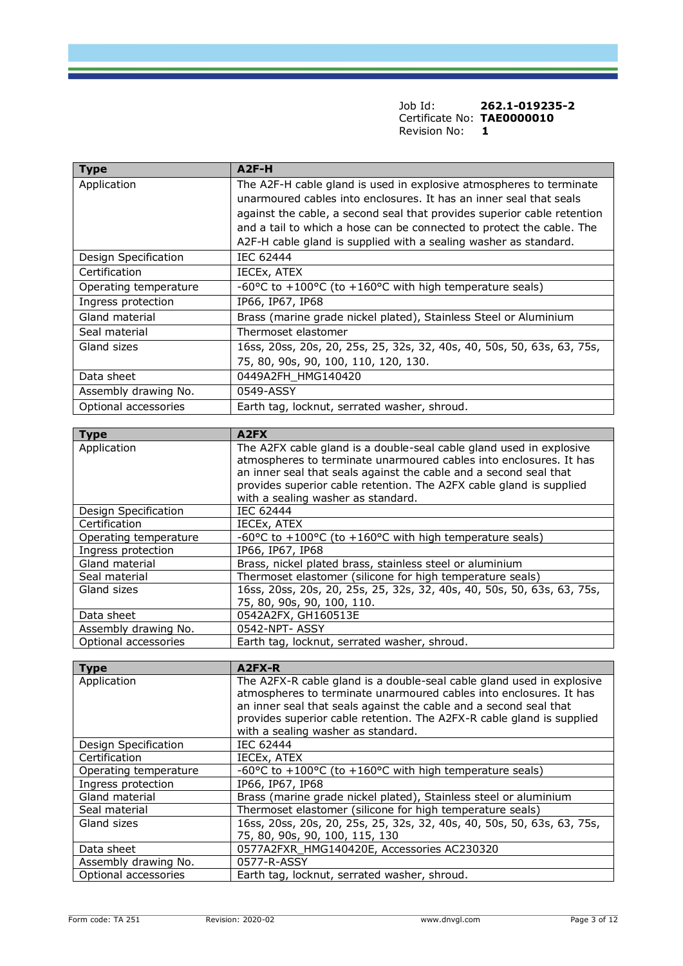| <b>Type</b>           | $A2F-H$                                                                               |
|-----------------------|---------------------------------------------------------------------------------------|
| Application           | The A2F-H cable gland is used in explosive atmospheres to terminate                   |
|                       | unarmoured cables into enclosures. It has an inner seal that seals                    |
|                       | against the cable, a second seal that provides superior cable retention               |
|                       | and a tail to which a hose can be connected to protect the cable. The                 |
|                       | A2F-H cable gland is supplied with a sealing washer as standard.                      |
| Design Specification  | IEC 62444                                                                             |
| Certification         | IECEX, ATEX                                                                           |
| Operating temperature | -60 $\degree$ C to +100 $\degree$ C (to +160 $\degree$ C with high temperature seals) |
| Ingress protection    | IP66, IP67, IP68                                                                      |
| Gland material        | Brass (marine grade nickel plated), Stainless Steel or Aluminium                      |
| Seal material         | Thermoset elastomer                                                                   |
| Gland sizes           | 16ss, 20ss, 20s, 20, 25s, 25, 32s, 32, 40s, 40, 50s, 50, 63s, 63, 75s,                |
|                       | 75, 80, 90s, 90, 100, 110, 120, 130.                                                  |
| Data sheet            | 0449A2FH_HMG140420                                                                    |
| Assembly drawing No.  | 0549-ASSY                                                                             |
| Optional accessories  | Earth tag, locknut, serrated washer, shroud.                                          |

| <b>Type</b>           | A <sub>2F</sub> x                                                                                                                                                                                                                                                                                                           |
|-----------------------|-----------------------------------------------------------------------------------------------------------------------------------------------------------------------------------------------------------------------------------------------------------------------------------------------------------------------------|
| Application           | The A2FX cable gland is a double-seal cable gland used in explosive<br>atmospheres to terminate unarmoured cables into enclosures. It has<br>an inner seal that seals against the cable and a second seal that<br>provides superior cable retention. The A2FX cable gland is supplied<br>with a sealing washer as standard. |
| Design Specification  | IEC 62444                                                                                                                                                                                                                                                                                                                   |
| Certification         | IECEX, ATEX                                                                                                                                                                                                                                                                                                                 |
| Operating temperature | -60 $\degree$ C to +100 $\degree$ C (to +160 $\degree$ C with high temperature seals)                                                                                                                                                                                                                                       |
| Ingress protection    | IP66, IP67, IP68                                                                                                                                                                                                                                                                                                            |
| Gland material        | Brass, nickel plated brass, stainless steel or aluminium                                                                                                                                                                                                                                                                    |
| Seal material         | Thermoset elastomer (silicone for high temperature seals)                                                                                                                                                                                                                                                                   |
| Gland sizes           | 16ss, 20ss, 20s, 20, 25s, 25, 32s, 32, 40s, 40, 50s, 50, 63s, 63, 75s,<br>75, 80, 90s, 90, 100, 110.                                                                                                                                                                                                                        |
| Data sheet            | 0542A2FX, GH160513E                                                                                                                                                                                                                                                                                                         |
| Assembly drawing No.  | 0542-NPT-ASSY                                                                                                                                                                                                                                                                                                               |
| Optional accessories  | Earth tag, locknut, serrated washer, shroud.                                                                                                                                                                                                                                                                                |

| <b>Type</b>           | A2FX-R                                                                                                                                                                                                                                                                                                                          |
|-----------------------|---------------------------------------------------------------------------------------------------------------------------------------------------------------------------------------------------------------------------------------------------------------------------------------------------------------------------------|
| Application           | The A2FX-R cable gland is a double-seal cable gland used in explosive<br>atmospheres to terminate unarmoured cables into enclosures. It has<br>an inner seal that seals against the cable and a second seal that<br>provides superior cable retention. The A2FX-R cable gland is supplied<br>with a sealing washer as standard. |
| Design Specification  | IEC 62444                                                                                                                                                                                                                                                                                                                       |
| Certification         | IECEx, ATEX                                                                                                                                                                                                                                                                                                                     |
| Operating temperature | -60°C to +100°C (to +160°C with high temperature seals)                                                                                                                                                                                                                                                                         |
| Ingress protection    | IP66, IP67, IP68                                                                                                                                                                                                                                                                                                                |
| Gland material        | Brass (marine grade nickel plated), Stainless steel or aluminium                                                                                                                                                                                                                                                                |
| Seal material         | Thermoset elastomer (silicone for high temperature seals)                                                                                                                                                                                                                                                                       |
| Gland sizes           | 16ss, 20ss, 20s, 20, 25s, 25, 32s, 32, 40s, 40, 50s, 50, 63s, 63, 75s,<br>75, 80, 90s, 90, 100, 115, 130                                                                                                                                                                                                                        |
| Data sheet            | 0577A2FXR_HMG140420E, Accessories AC230320                                                                                                                                                                                                                                                                                      |
| Assembly drawing No.  | 0577-R-ASSY                                                                                                                                                                                                                                                                                                                     |
| Optional accessories  | Earth tag, locknut, serrated washer, shroud.                                                                                                                                                                                                                                                                                    |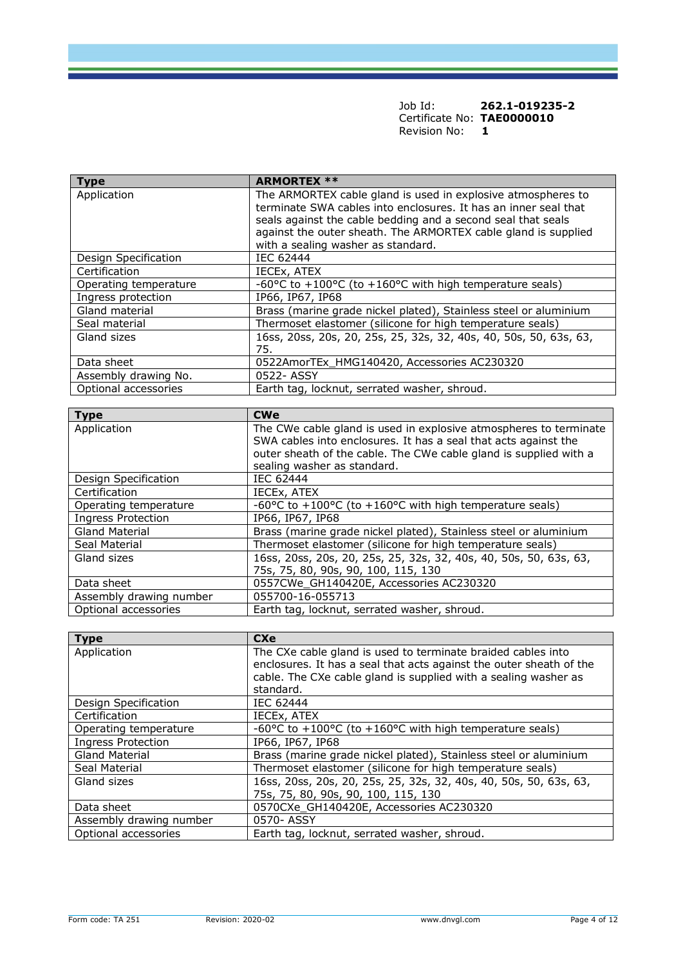| Job Id:                    | 262.1-019235-2 |
|----------------------------|----------------|
| Certificate No: TAE0000010 |                |
| Revision No:               |                |

| <b>Type</b>               | <b>ARMORTEX **</b>                                                |
|---------------------------|-------------------------------------------------------------------|
| Application               | The ARMORTEX cable gland is used in explosive atmospheres to      |
|                           | terminate SWA cables into enclosures. It has an inner seal that   |
|                           | seals against the cable bedding and a second seal that seals      |
|                           | against the outer sheath. The ARMORTEX cable gland is supplied    |
|                           | with a sealing washer as standard.                                |
| Design Specification      | <b>IEC 62444</b>                                                  |
| Certification             | IECEx, ATEX                                                       |
| Operating temperature     | -60°C to +100°C (to +160°C with high temperature seals)           |
| Ingress protection        | IP66, IP67, IP68                                                  |
| Gland material            | Brass (marine grade nickel plated), Stainless steel or aluminium  |
| Seal material             | Thermoset elastomer (silicone for high temperature seals)         |
| Gland sizes               | 16ss, 20ss, 20s, 20, 25s, 25, 32s, 32, 40s, 40, 50s, 50, 63s, 63, |
|                           | 75.                                                               |
| Data sheet                | 0522AmorTEx_HMG140420, Accessories AC230320                       |
| Assembly drawing No.      | 0522- ASSY                                                        |
| Optional accessories      | Earth tag, locknut, serrated washer, shroud.                      |
|                           |                                                                   |
|                           |                                                                   |
| <b>Type</b>               | <b>CWe</b>                                                        |
| Application               | The CWe cable gland is used in explosive atmospheres to terminate |
|                           | SWA cables into enclosures. It has a seal that acts against the   |
|                           | outer sheath of the cable. The CWe cable gland is supplied with a |
|                           | sealing washer as standard.                                       |
| Design Specification      | IEC 62444                                                         |
| Certification             | IECEx, ATEX                                                       |
| Operating temperature     | -60°C to +100°C (to +160°C with high temperature seals)           |
| <b>Ingress Protection</b> | IP66, IP67, IP68                                                  |
| <b>Gland Material</b>     | Brass (marine grade nickel plated), Stainless steel or aluminium  |
| Seal Material             | Thermoset elastomer (silicone for high temperature seals)         |
| Gland sizes               | 16ss, 20ss, 20s, 20, 25s, 25, 32s, 32, 40s, 40, 50s, 50, 63s, 63, |
|                           | <u>75s, 75, 80, 90s, 90, 100, 115, 130</u>                        |
| Data sheet                | 0557CWe_GH140420E, Accessories AC230320                           |
| Assembly drawing number   | 055700-16-055713<br>Earth tag, locknut, serrated washer, shroud.  |

| <b>Type</b>               | <b>CXe</b>                                                          |
|---------------------------|---------------------------------------------------------------------|
| Application               | The CXe cable gland is used to terminate braided cables into        |
|                           | enclosures. It has a seal that acts against the outer sheath of the |
|                           | cable. The CXe cable gland is supplied with a sealing washer as     |
|                           | standard.                                                           |
| Design Specification      | IEC 62444                                                           |
| Certification             | IECEX, ATEX                                                         |
| Operating temperature     | -60°C to +100°C (to +160°C with high temperature seals)             |
| <b>Ingress Protection</b> | IP66, IP67, IP68                                                    |
| <b>Gland Material</b>     | Brass (marine grade nickel plated), Stainless steel or aluminium    |
| Seal Material             | Thermoset elastomer (silicone for high temperature seals)           |
| Gland sizes               | 16ss, 20ss, 20s, 20, 25s, 25, 32s, 32, 40s, 40, 50s, 50, 63s, 63,   |
|                           | 75s, 75, 80, 90s, 90, 100, 115, 130                                 |
| Data sheet                | 0570CXe GH140420E, Accessories AC230320                             |
| Assembly drawing number   | 0570-ASSY                                                           |
| Optional accessories      | Earth tag, locknut, serrated washer, shroud.                        |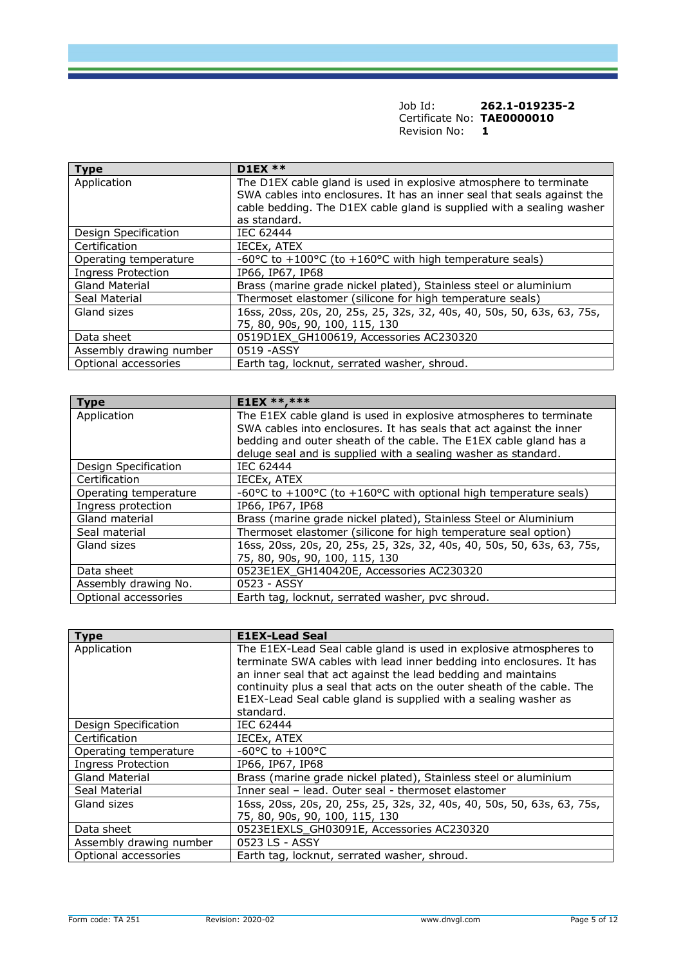| <b>Type</b>               | <b>D1EX **</b>                                                                                                                                                                                                                        |
|---------------------------|---------------------------------------------------------------------------------------------------------------------------------------------------------------------------------------------------------------------------------------|
| Application               | The D1EX cable gland is used in explosive atmosphere to terminate<br>SWA cables into enclosures. It has an inner seal that seals against the<br>cable bedding. The D1EX cable gland is supplied with a sealing washer<br>as standard. |
| Design Specification      | IEC 62444                                                                                                                                                                                                                             |
| Certification             | IECEX, ATEX                                                                                                                                                                                                                           |
| Operating temperature     | -60°C to +100°C (to +160°C with high temperature seals)                                                                                                                                                                               |
| <b>Ingress Protection</b> | IP66, IP67, IP68                                                                                                                                                                                                                      |
| <b>Gland Material</b>     | Brass (marine grade nickel plated), Stainless steel or aluminium                                                                                                                                                                      |
| Seal Material             | Thermoset elastomer (silicone for high temperature seals)                                                                                                                                                                             |
| Gland sizes               | 16ss, 20ss, 20s, 20, 25s, 25, 32s, 32, 40s, 40, 50s, 50, 63s, 63, 75s,<br>75, 80, 90s, 90, 100, 115, 130                                                                                                                              |
| Data sheet                | 0519D1EX GH100619, Accessories AC230320                                                                                                                                                                                               |
| Assembly drawing number   | 0519 - ASSY                                                                                                                                                                                                                           |
| Optional accessories      | Earth tag, locknut, serrated washer, shroud.                                                                                                                                                                                          |

| <b>Type</b>           | <b>E1EX **, ***</b>                                                    |
|-----------------------|------------------------------------------------------------------------|
| Application           | The E1EX cable gland is used in explosive atmospheres to terminate     |
|                       | SWA cables into enclosures. It has seals that act against the inner    |
|                       | bedding and outer sheath of the cable. The E1EX cable gland has a      |
|                       | deluge seal and is supplied with a sealing washer as standard.         |
| Design Specification  | IEC 62444                                                              |
| Certification         | IECEX, ATEX                                                            |
| Operating temperature | -60°C to +100°C (to +160°C with optional high temperature seals)       |
| Ingress protection    | IP66, IP67, IP68                                                       |
| Gland material        | Brass (marine grade nickel plated), Stainless Steel or Aluminium       |
| Seal material         | Thermoset elastomer (silicone for high temperature seal option)        |
| Gland sizes           | 16ss, 20ss, 20s, 20, 25s, 25, 32s, 32, 40s, 40, 50s, 50, 63s, 63, 75s, |
|                       | 75, 80, 90s, 90, 100, 115, 130                                         |
| Data sheet            | 0523E1EX GH140420E, Accessories AC230320                               |
| Assembly drawing No.  | 0523 - ASSY                                                            |
| Optional accessories  | Earth tag, locknut, serrated washer, pvc shroud.                       |

| <b>Type</b>               | <b>E1EX-Lead Seal</b>                                                                                                                                                                                                                                                                                                                                                 |
|---------------------------|-----------------------------------------------------------------------------------------------------------------------------------------------------------------------------------------------------------------------------------------------------------------------------------------------------------------------------------------------------------------------|
| Application               | The E1EX-Lead Seal cable gland is used in explosive atmospheres to<br>terminate SWA cables with lead inner bedding into enclosures. It has<br>an inner seal that act against the lead bedding and maintains<br>continuity plus a seal that acts on the outer sheath of the cable. The<br>E1EX-Lead Seal cable gland is supplied with a sealing washer as<br>standard. |
| Design Specification      | IEC 62444                                                                                                                                                                                                                                                                                                                                                             |
| Certification             | IECEX, ATEX                                                                                                                                                                                                                                                                                                                                                           |
| Operating temperature     | $-60^{\circ}$ C to $+100^{\circ}$ C                                                                                                                                                                                                                                                                                                                                   |
| <b>Ingress Protection</b> | IP66, IP67, IP68                                                                                                                                                                                                                                                                                                                                                      |
| <b>Gland Material</b>     | Brass (marine grade nickel plated), Stainless steel or aluminium                                                                                                                                                                                                                                                                                                      |
| Seal Material             | Inner seal - lead. Outer seal - thermoset elastomer                                                                                                                                                                                                                                                                                                                   |
| Gland sizes               | 16ss, 20ss, 20s, 20, 25s, 25, 32s, 32, 40s, 40, 50s, 50, 63s, 63, 75s,<br>75, 80, 90s, 90, 100, 115, 130                                                                                                                                                                                                                                                              |
| Data sheet                | 0523E1EXLS GH03091E, Accessories AC230320                                                                                                                                                                                                                                                                                                                             |
| Assembly drawing number   | 0523 LS - ASSY                                                                                                                                                                                                                                                                                                                                                        |
| Optional accessories      | Earth tag, locknut, serrated washer, shroud.                                                                                                                                                                                                                                                                                                                          |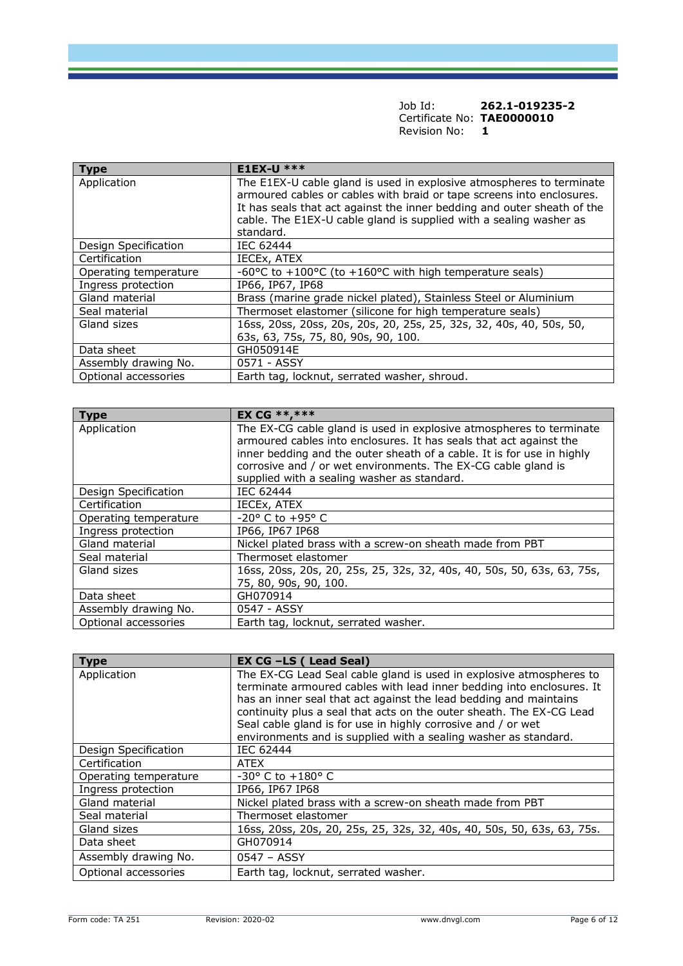| <b>Type</b>           | <b>E1EX-U ***</b>                                                                                                                                                                                                                                                                                           |
|-----------------------|-------------------------------------------------------------------------------------------------------------------------------------------------------------------------------------------------------------------------------------------------------------------------------------------------------------|
| Application           | The E1EX-U cable gland is used in explosive atmospheres to terminate<br>armoured cables or cables with braid or tape screens into enclosures.<br>It has seals that act against the inner bedding and outer sheath of the<br>cable. The E1EX-U cable gland is supplied with a sealing washer as<br>standard. |
| Design Specification  | IEC 62444                                                                                                                                                                                                                                                                                                   |
| Certification         | IECEX, ATEX                                                                                                                                                                                                                                                                                                 |
| Operating temperature | -60 $\degree$ C to +100 $\degree$ C (to +160 $\degree$ C with high temperature seals)                                                                                                                                                                                                                       |
| Ingress protection    | IP66, IP67, IP68                                                                                                                                                                                                                                                                                            |
| Gland material        | Brass (marine grade nickel plated), Stainless Steel or Aluminium                                                                                                                                                                                                                                            |
| Seal material         | Thermoset elastomer (silicone for high temperature seals)                                                                                                                                                                                                                                                   |
| Gland sizes           | 16ss, 20ss, 20ss, 20s, 20s, 20, 25s, 25, 32s, 32, 40s, 40, 50s, 50,<br>63s, 63, 75s, 75, 80, 90s, 90, 100.                                                                                                                                                                                                  |
| Data sheet            | GH050914E                                                                                                                                                                                                                                                                                                   |
| Assembly drawing No.  | 0571 - ASSY                                                                                                                                                                                                                                                                                                 |
| Optional accessories  | Earth tag, locknut, serrated washer, shroud.                                                                                                                                                                                                                                                                |

| <b>Type</b>           | <b>EX CG **, ***</b>                                                                                                                                                                                                                                                                                                                |
|-----------------------|-------------------------------------------------------------------------------------------------------------------------------------------------------------------------------------------------------------------------------------------------------------------------------------------------------------------------------------|
| Application           | The EX-CG cable gland is used in explosive atmospheres to terminate<br>armoured cables into enclosures. It has seals that act against the<br>inner bedding and the outer sheath of a cable. It is for use in highly<br>corrosive and / or wet environments. The EX-CG cable gland is<br>supplied with a sealing washer as standard. |
| Design Specification  | IEC 62444                                                                                                                                                                                                                                                                                                                           |
| Certification         | IECEX, ATEX                                                                                                                                                                                                                                                                                                                         |
| Operating temperature | $-20^{\circ}$ C to $+95^{\circ}$ C                                                                                                                                                                                                                                                                                                  |
| Ingress protection    | IP66, IP67 IP68                                                                                                                                                                                                                                                                                                                     |
| Gland material        | Nickel plated brass with a screw-on sheath made from PBT                                                                                                                                                                                                                                                                            |
| Seal material         | Thermoset elastomer                                                                                                                                                                                                                                                                                                                 |
| Gland sizes           | 16ss, 20ss, 20s, 20, 25s, 25, 32s, 32, 40s, 40, 50s, 50, 63s, 63, 75s,<br>75, 80, 90s, 90, 100.                                                                                                                                                                                                                                     |
| Data sheet            | GH070914                                                                                                                                                                                                                                                                                                                            |
| Assembly drawing No.  | 0547 - ASSY                                                                                                                                                                                                                                                                                                                         |
| Optional accessories  | Earth tag, locknut, serrated washer.                                                                                                                                                                                                                                                                                                |

| <b>Type</b>           | EX CG -LS (Lead Seal)                                                                                                                                                                                                                                                                                                                                                                                                        |
|-----------------------|------------------------------------------------------------------------------------------------------------------------------------------------------------------------------------------------------------------------------------------------------------------------------------------------------------------------------------------------------------------------------------------------------------------------------|
| Application           | The EX-CG Lead Seal cable gland is used in explosive atmospheres to<br>terminate armoured cables with lead inner bedding into enclosures. It<br>has an inner seal that act against the lead bedding and maintains<br>continuity plus a seal that acts on the outer sheath. The EX-CG Lead<br>Seal cable gland is for use in highly corrosive and / or wet<br>environments and is supplied with a sealing washer as standard. |
| Design Specification  | IEC 62444                                                                                                                                                                                                                                                                                                                                                                                                                    |
| Certification         | <b>ATEX</b>                                                                                                                                                                                                                                                                                                                                                                                                                  |
| Operating temperature | $-30^{\circ}$ C to $+180^{\circ}$ C                                                                                                                                                                                                                                                                                                                                                                                          |
| Ingress protection    | IP66, IP67 IP68                                                                                                                                                                                                                                                                                                                                                                                                              |
| Gland material        | Nickel plated brass with a screw-on sheath made from PBT                                                                                                                                                                                                                                                                                                                                                                     |
| Seal material         | Thermoset elastomer                                                                                                                                                                                                                                                                                                                                                                                                          |
| Gland sizes           | 16ss, 20ss, 20s, 20, 25s, 25, 32s, 32, 40s, 40, 50s, 50, 63s, 63, 75s.                                                                                                                                                                                                                                                                                                                                                       |
| Data sheet            | GH070914                                                                                                                                                                                                                                                                                                                                                                                                                     |
| Assembly drawing No.  | 0547 - ASSY                                                                                                                                                                                                                                                                                                                                                                                                                  |
| Optional accessories  | Earth tag, locknut, serrated washer.                                                                                                                                                                                                                                                                                                                                                                                         |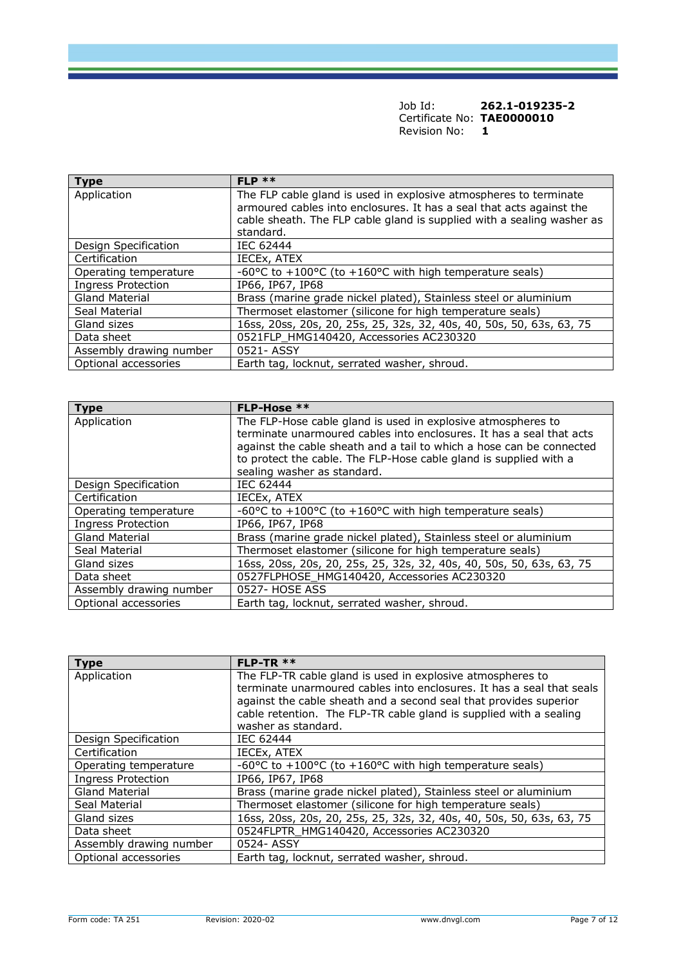| Job Id:                    | 262.1-019235-2 |
|----------------------------|----------------|
| Certificate No: TAE0000010 |                |
| Revision No:               |                |

| <b>Type</b>               | $FLP$ **                                                                                                                                                                                                                         |
|---------------------------|----------------------------------------------------------------------------------------------------------------------------------------------------------------------------------------------------------------------------------|
| Application               | The FLP cable gland is used in explosive atmospheres to terminate<br>armoured cables into enclosures. It has a seal that acts against the<br>cable sheath. The FLP cable gland is supplied with a sealing washer as<br>standard. |
| Design Specification      | IEC 62444                                                                                                                                                                                                                        |
| Certification             | IECEX, ATEX                                                                                                                                                                                                                      |
| Operating temperature     | -60°C to +100°C (to +160°C with high temperature seals)                                                                                                                                                                          |
| <b>Ingress Protection</b> | IP66, IP67, IP68                                                                                                                                                                                                                 |
| Gland Material            | Brass (marine grade nickel plated), Stainless steel or aluminium                                                                                                                                                                 |
| Seal Material             | Thermoset elastomer (silicone for high temperature seals)                                                                                                                                                                        |
| Gland sizes               | 16ss, 20ss, 20s, 20, 25s, 25, 32s, 32, 40s, 40, 50s, 50, 63s, 63, 75                                                                                                                                                             |
| Data sheet                | 0521FLP_HMG140420, Accessories AC230320                                                                                                                                                                                          |
| Assembly drawing number   | 0521-ASSY                                                                                                                                                                                                                        |
| Optional accessories      | Earth tag, locknut, serrated washer, shroud.                                                                                                                                                                                     |

| <b>Type</b>               | FLP-Hose **                                                                                                                                                                                                                                                                       |
|---------------------------|-----------------------------------------------------------------------------------------------------------------------------------------------------------------------------------------------------------------------------------------------------------------------------------|
| Application               | The FLP-Hose cable gland is used in explosive atmospheres to<br>terminate unarmoured cables into enclosures. It has a seal that acts<br>against the cable sheath and a tail to which a hose can be connected<br>to protect the cable. The FLP-Hose cable gland is supplied with a |
|                           | sealing washer as standard.                                                                                                                                                                                                                                                       |
| Design Specification      | <b>IEC 62444</b>                                                                                                                                                                                                                                                                  |
| Certification             | IECEX, ATEX                                                                                                                                                                                                                                                                       |
| Operating temperature     | -60 $\degree$ C to +100 $\degree$ C (to +160 $\degree$ C with high temperature seals)                                                                                                                                                                                             |
| <b>Ingress Protection</b> | IP66, IP67, IP68                                                                                                                                                                                                                                                                  |
| <b>Gland Material</b>     | Brass (marine grade nickel plated), Stainless steel or aluminium                                                                                                                                                                                                                  |
| Seal Material             | Thermoset elastomer (silicone for high temperature seals)                                                                                                                                                                                                                         |
| Gland sizes               | 16ss, 20ss, 20s, 20, 25s, 25, 32s, 32, 40s, 40, 50s, 50, 63s, 63, 75                                                                                                                                                                                                              |
| Data sheet                | 0527FLPHOSE HMG140420, Accessories AC230320                                                                                                                                                                                                                                       |
| Assembly drawing number   | 0527- HOSE ASS                                                                                                                                                                                                                                                                    |
| Optional accessories      | Earth tag, locknut, serrated washer, shroud.                                                                                                                                                                                                                                      |

| <b>Type</b>               | $FLP-TR$ **                                                                                                                                                                                                                                                                                           |
|---------------------------|-------------------------------------------------------------------------------------------------------------------------------------------------------------------------------------------------------------------------------------------------------------------------------------------------------|
| Application               | The FLP-TR cable gland is used in explosive atmospheres to<br>terminate unarmoured cables into enclosures. It has a seal that seals<br>against the cable sheath and a second seal that provides superior<br>cable retention. The FLP-TR cable gland is supplied with a sealing<br>washer as standard. |
| Design Specification      | IEC 62444                                                                                                                                                                                                                                                                                             |
| Certification             | IECEX, ATEX                                                                                                                                                                                                                                                                                           |
| Operating temperature     | -60°C to +100°C (to +160°C with high temperature seals)                                                                                                                                                                                                                                               |
| <b>Ingress Protection</b> | IP66, IP67, IP68                                                                                                                                                                                                                                                                                      |
| <b>Gland Material</b>     | Brass (marine grade nickel plated), Stainless steel or aluminium                                                                                                                                                                                                                                      |
| Seal Material             | Thermoset elastomer (silicone for high temperature seals)                                                                                                                                                                                                                                             |
| Gland sizes               | 16ss, 20ss, 20s, 20, 25s, 25, 32s, 32, 40s, 40, 50s, 50, 63s, 63, 75                                                                                                                                                                                                                                  |
| Data sheet                | 0524FLPTR HMG140420, Accessories AC230320                                                                                                                                                                                                                                                             |
| Assembly drawing number   | 0524-ASSY                                                                                                                                                                                                                                                                                             |
| Optional accessories      | Earth tag, locknut, serrated washer, shroud.                                                                                                                                                                                                                                                          |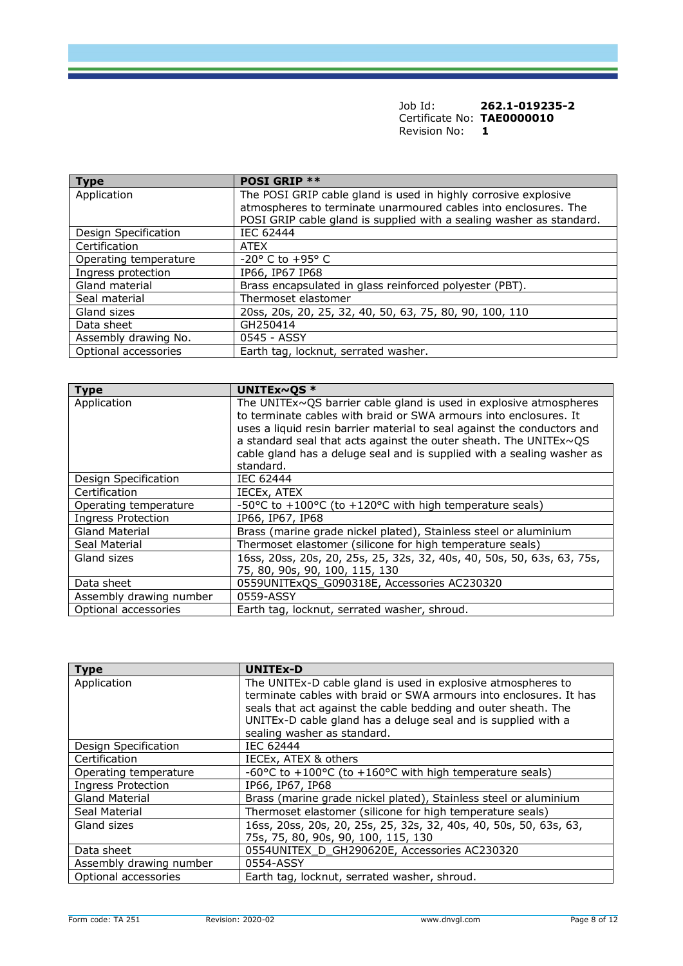| <b>Type</b>           | <b>POSI GRIP **</b>                                                  |
|-----------------------|----------------------------------------------------------------------|
| Application           | The POSI GRIP cable gland is used in highly corrosive explosive      |
|                       | atmospheres to terminate unarmoured cables into enclosures. The      |
|                       | POSI GRIP cable gland is supplied with a sealing washer as standard. |
| Design Specification  | <b>IEC 62444</b>                                                     |
| Certification         | <b>ATEX</b>                                                          |
| Operating temperature | $-20$ ° C to $+95$ ° C                                               |
| Ingress protection    | IP66, IP67 IP68                                                      |
| Gland material        | Brass encapsulated in glass reinforced polyester (PBT).              |
| Seal material         | Thermoset elastomer                                                  |
| Gland sizes           | 20ss, 20s, 20, 25, 32, 40, 50, 63, 75, 80, 90, 100, 110              |
| Data sheet            | GH250414                                                             |
| Assembly drawing No.  | 0545 - ASSY                                                          |
| Optional accessories  | Earth tag, locknut, serrated washer.                                 |

| <b>Type</b>               | UNITEX~QS $*$                                                                                                                                                                                                                                                                                                                                                                          |
|---------------------------|----------------------------------------------------------------------------------------------------------------------------------------------------------------------------------------------------------------------------------------------------------------------------------------------------------------------------------------------------------------------------------------|
| Application               | The UNITE $x \sim QS$ barrier cable gland is used in explosive atmospheres<br>to terminate cables with braid or SWA armours into enclosures. It<br>uses a liquid resin barrier material to seal against the conductors and<br>a standard seal that acts against the outer sheath. The UNITEx~QS<br>cable gland has a deluge seal and is supplied with a sealing washer as<br>standard. |
| Design Specification      | IEC 62444                                                                                                                                                                                                                                                                                                                                                                              |
| Certification             | IECEX, ATEX                                                                                                                                                                                                                                                                                                                                                                            |
| Operating temperature     | -50°C to +100°C (to +120°C with high temperature seals)                                                                                                                                                                                                                                                                                                                                |
| <b>Ingress Protection</b> | IP66, IP67, IP68                                                                                                                                                                                                                                                                                                                                                                       |
| <b>Gland Material</b>     | Brass (marine grade nickel plated), Stainless steel or aluminium                                                                                                                                                                                                                                                                                                                       |
| Seal Material             | Thermoset elastomer (silicone for high temperature seals)                                                                                                                                                                                                                                                                                                                              |
| Gland sizes               | 16ss, 20ss, 20s, 20, 25s, 25, 32s, 32, 40s, 40, 50s, 50, 63s, 63, 75s,<br>75, 80, 90s, 90, 100, 115, 130                                                                                                                                                                                                                                                                               |
| Data sheet                | 0559UNITExQS_G090318E, Accessories AC230320                                                                                                                                                                                                                                                                                                                                            |
| Assembly drawing number   | 0559-ASSY                                                                                                                                                                                                                                                                                                                                                                              |
| Optional accessories      | Earth tag, locknut, serrated washer, shroud.                                                                                                                                                                                                                                                                                                                                           |

| <b>Type</b>               | <b>UNITEx-D</b>                                                                                                                                                                                                                                                                                      |
|---------------------------|------------------------------------------------------------------------------------------------------------------------------------------------------------------------------------------------------------------------------------------------------------------------------------------------------|
| Application               | The UNITEx-D cable gland is used in explosive atmospheres to<br>terminate cables with braid or SWA armours into enclosures. It has<br>seals that act against the cable bedding and outer sheath. The<br>UNITEx-D cable gland has a deluge seal and is supplied with a<br>sealing washer as standard. |
| Design Specification      | IEC 62444                                                                                                                                                                                                                                                                                            |
| Certification             | IECEx, ATEX & others                                                                                                                                                                                                                                                                                 |
| Operating temperature     | -60°C to +100°C (to +160°C with high temperature seals)                                                                                                                                                                                                                                              |
| <b>Ingress Protection</b> | IP66, IP67, IP68                                                                                                                                                                                                                                                                                     |
| <b>Gland Material</b>     | Brass (marine grade nickel plated), Stainless steel or aluminium                                                                                                                                                                                                                                     |
| Seal Material             | Thermoset elastomer (silicone for high temperature seals)                                                                                                                                                                                                                                            |
| Gland sizes               | 16ss, 20ss, 20s, 20, 25s, 25, 32s, 32, 40s, 40, 50s, 50, 63s, 63,<br>75s, 75, 80, 90s, 90, 100, 115, 130                                                                                                                                                                                             |
| Data sheet                | 0554UNITEX_D_GH290620E, Accessories AC230320                                                                                                                                                                                                                                                         |
| Assembly drawing number   | 0554-ASSY                                                                                                                                                                                                                                                                                            |
| Optional accessories      | Earth tag, locknut, serrated washer, shroud.                                                                                                                                                                                                                                                         |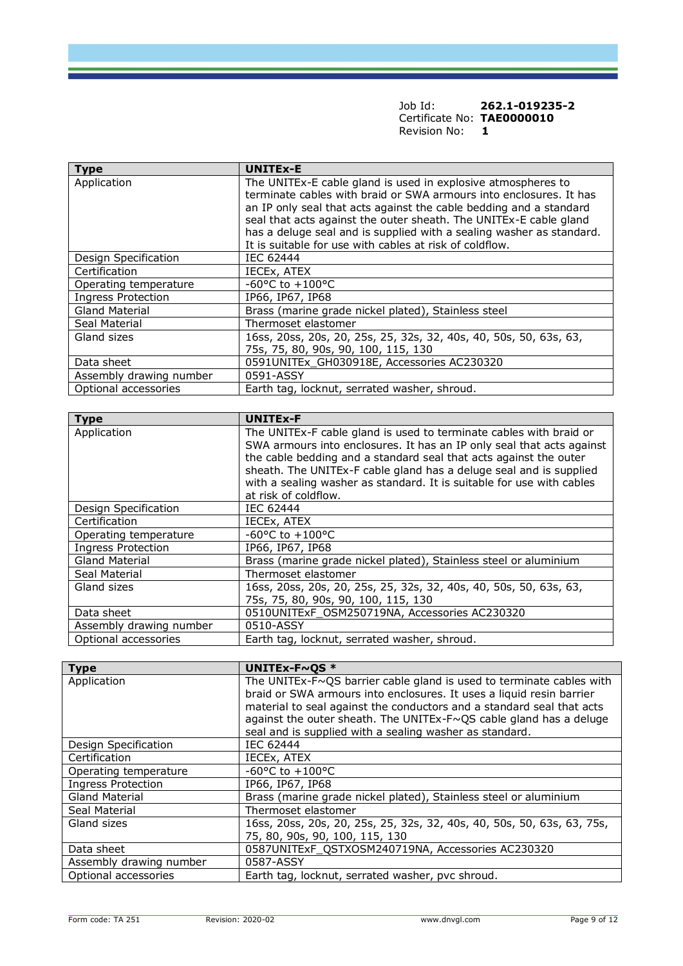| Job Id:                    | 262.1-019235-2 |
|----------------------------|----------------|
| Certificate No: TAE0000010 |                |
| Revision No:               |                |

| <b>Type</b>               | <b>UNITEx-E</b>                                                                                                                                                                                                                                                                                                                                                                                                  |
|---------------------------|------------------------------------------------------------------------------------------------------------------------------------------------------------------------------------------------------------------------------------------------------------------------------------------------------------------------------------------------------------------------------------------------------------------|
| Application               | The UNITEx-E cable gland is used in explosive atmospheres to<br>terminate cables with braid or SWA armours into enclosures. It has<br>an IP only seal that acts against the cable bedding and a standard<br>seal that acts against the outer sheath. The UNITEx-E cable gland<br>has a deluge seal and is supplied with a sealing washer as standard.<br>It is suitable for use with cables at risk of coldflow. |
| Design Specification      | IEC 62444                                                                                                                                                                                                                                                                                                                                                                                                        |
| Certification             | IECEX, ATEX                                                                                                                                                                                                                                                                                                                                                                                                      |
| Operating temperature     | $-60^{\circ}$ C to $+100^{\circ}$ C                                                                                                                                                                                                                                                                                                                                                                              |
| <b>Ingress Protection</b> | IP66, IP67, IP68                                                                                                                                                                                                                                                                                                                                                                                                 |
| <b>Gland Material</b>     | Brass (marine grade nickel plated), Stainless steel                                                                                                                                                                                                                                                                                                                                                              |
| Seal Material             | Thermoset elastomer                                                                                                                                                                                                                                                                                                                                                                                              |
| Gland sizes               | 16ss, 20ss, 20s, 20, 25s, 25, 32s, 32, 40s, 40, 50s, 50, 63s, 63,<br>75s, 75, 80, 90s, 90, 100, 115, 130                                                                                                                                                                                                                                                                                                         |
| Data sheet                | 0591UNITEx_GH030918E, Accessories AC230320                                                                                                                                                                                                                                                                                                                                                                       |
| Assembly drawing number   | 0591-ASSY                                                                                                                                                                                                                                                                                                                                                                                                        |
| Optional accessories      | Earth tag, locknut, serrated washer, shroud.                                                                                                                                                                                                                                                                                                                                                                     |

| <b>Type</b>               | <b>UNITEx-F</b>                                                       |
|---------------------------|-----------------------------------------------------------------------|
| Application               | The UNITEx-F cable gland is used to terminate cables with braid or    |
|                           | SWA armours into enclosures. It has an IP only seal that acts against |
|                           | the cable bedding and a standard seal that acts against the outer     |
|                           | sheath. The UNITEx-F cable gland has a deluge seal and is supplied    |
|                           | with a sealing washer as standard. It is suitable for use with cables |
|                           | at risk of coldflow.                                                  |
| Design Specification      | IEC 62444                                                             |
| Certification             | IECEX, ATEX                                                           |
| Operating temperature     | $-60^{\circ}$ C to $+100^{\circ}$ C                                   |
| <b>Ingress Protection</b> | IP66, IP67, IP68                                                      |
| <b>Gland Material</b>     | Brass (marine grade nickel plated), Stainless steel or aluminium      |
| Seal Material             | Thermoset elastomer                                                   |
| Gland sizes               | 16ss, 20ss, 20s, 20, 25s, 25, 32s, 32, 40s, 40, 50s, 50, 63s, 63,     |
|                           | 75s, 75, 80, 90s, 90, 100, 115, 130                                   |
| Data sheet                | 0510UNITExF_OSM250719NA, Accessories AC230320                         |
| Assembly drawing number   | 0510-ASSY                                                             |
| Optional accessories      | Earth tag, locknut, serrated washer, shroud.                          |

| <b>Type</b>               | UNITEx-F~OS *                                                                                                                                                                                                                                                                                                                                          |
|---------------------------|--------------------------------------------------------------------------------------------------------------------------------------------------------------------------------------------------------------------------------------------------------------------------------------------------------------------------------------------------------|
| Application               | The UNITEx-F~QS barrier cable gland is used to terminate cables with<br>braid or SWA armours into enclosures. It uses a liquid resin barrier<br>material to seal against the conductors and a standard seal that acts<br>against the outer sheath. The UNITEx-F~QS cable gland has a deluge<br>seal and is supplied with a sealing washer as standard. |
| Design Specification      | IEC 62444                                                                                                                                                                                                                                                                                                                                              |
| Certification             | IECEX, ATEX                                                                                                                                                                                                                                                                                                                                            |
| Operating temperature     | $-60^{\circ}$ C to $+100^{\circ}$ C                                                                                                                                                                                                                                                                                                                    |
| <b>Ingress Protection</b> | IP66, IP67, IP68                                                                                                                                                                                                                                                                                                                                       |
| <b>Gland Material</b>     | Brass (marine grade nickel plated), Stainless steel or aluminium                                                                                                                                                                                                                                                                                       |
| Seal Material             | Thermoset elastomer                                                                                                                                                                                                                                                                                                                                    |
| Gland sizes               | 16ss, 20ss, 20s, 20, 25s, 25, 32s, 32, 40s, 40, 50s, 50, 63s, 63, 75s,<br>75, 80, 90s, 90, 100, 115, 130                                                                                                                                                                                                                                               |
| Data sheet                | 0587UNITExF QSTXOSM240719NA, Accessories AC230320                                                                                                                                                                                                                                                                                                      |
| Assembly drawing number   | 0587-ASSY                                                                                                                                                                                                                                                                                                                                              |
| Optional accessories      | Earth tag, locknut, serrated washer, pvc shroud.                                                                                                                                                                                                                                                                                                       |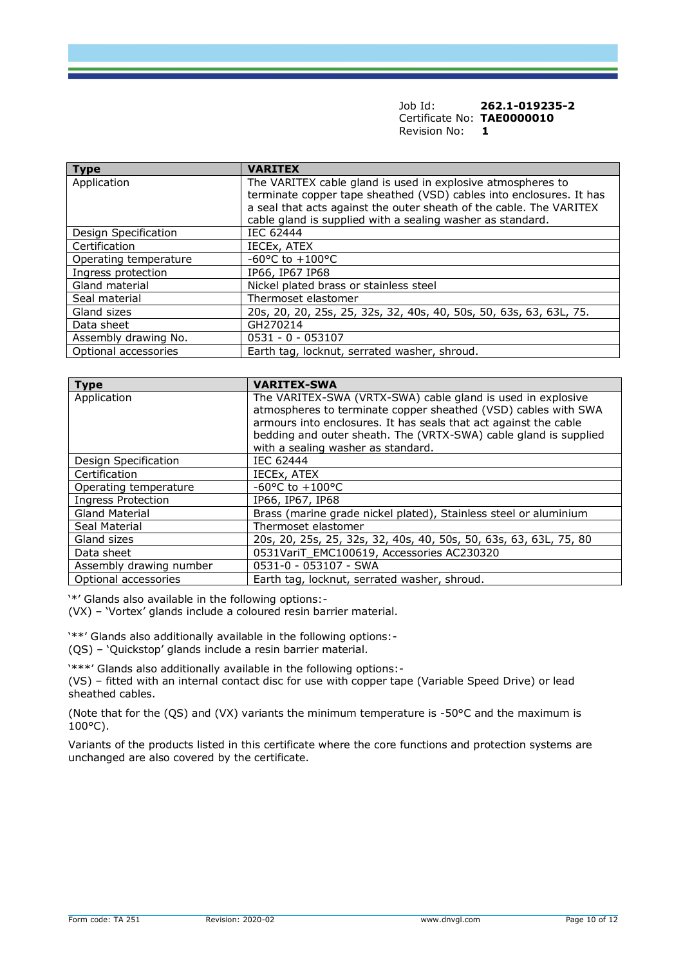Job Id: **262.1-019235-2** Certificate No: **TAE0000010** Revision No: **1**

| <b>Type</b>           | <b>VARITEX</b>                                                                                                                                                                                                                                                          |
|-----------------------|-------------------------------------------------------------------------------------------------------------------------------------------------------------------------------------------------------------------------------------------------------------------------|
| Application           | The VARITEX cable gland is used in explosive atmospheres to<br>terminate copper tape sheathed (VSD) cables into enclosures. It has<br>a seal that acts against the outer sheath of the cable. The VARITEX<br>cable gland is supplied with a sealing washer as standard. |
| Design Specification  | <b>IEC 62444</b>                                                                                                                                                                                                                                                        |
| Certification         | IECEX, ATEX                                                                                                                                                                                                                                                             |
| Operating temperature | $-60^{\circ}$ C to $+100^{\circ}$ C                                                                                                                                                                                                                                     |
| Ingress protection    | IP66, IP67 IP68                                                                                                                                                                                                                                                         |
| Gland material        | Nickel plated brass or stainless steel                                                                                                                                                                                                                                  |
| Seal material         | Thermoset elastomer                                                                                                                                                                                                                                                     |
| Gland sizes           | 20s, 20, 20, 25s, 25, 32s, 32, 40s, 40, 50s, 50, 63s, 63, 63L, 75.                                                                                                                                                                                                      |
| Data sheet            | GH270214                                                                                                                                                                                                                                                                |
| Assembly drawing No.  | $0531 - 0 - 053107$                                                                                                                                                                                                                                                     |
| Optional accessories  | Earth tag, locknut, serrated washer, shroud.                                                                                                                                                                                                                            |

| <b>Type</b>               | <b>VARITEX-SWA</b>                                                |
|---------------------------|-------------------------------------------------------------------|
| Application               | The VARITEX-SWA (VRTX-SWA) cable gland is used in explosive       |
|                           | atmospheres to terminate copper sheathed (VSD) cables with SWA    |
|                           | armours into enclosures. It has seals that act against the cable  |
|                           | bedding and outer sheath. The (VRTX-SWA) cable gland is supplied  |
|                           | with a sealing washer as standard.                                |
| Design Specification      | IEC 62444                                                         |
| Certification             | IECEX, ATEX                                                       |
| Operating temperature     | $-60^{\circ}$ C to $+100^{\circ}$ C                               |
| <b>Ingress Protection</b> | IP66, IP67, IP68                                                  |
| Gland Material            | Brass (marine grade nickel plated), Stainless steel or aluminium  |
| Seal Material             | Thermoset elastomer                                               |
| Gland sizes               | 20s, 20, 25s, 25, 32s, 32, 40s, 40, 50s, 50, 63s, 63, 63L, 75, 80 |
| Data sheet                | 0531VariT EMC100619, Accessories AC230320                         |
| Assembly drawing number   | 0531-0 - 053107 - SWA                                             |
| Optional accessories      | Earth tag, locknut, serrated washer, shroud.                      |

'\*' Glands also available in the following options:-

(VX) – 'Vortex' glands include a coloured resin barrier material.

'\*\*' Glands also additionally available in the following options:-

(QS) – 'Quickstop' glands include a resin barrier material.

'\*\*\*' Glands also additionally available in the following options:- (VS) – fitted with an internal contact disc for use with copper tape (Variable Speed Drive) or lead sheathed cables.

(Note that for the (QS) and (VX) variants the minimum temperature is -50°C and the maximum is  $100^{\circ}$ C).

Variants of the products listed in this certificate where the core functions and protection systems are unchanged are also covered by the certificate.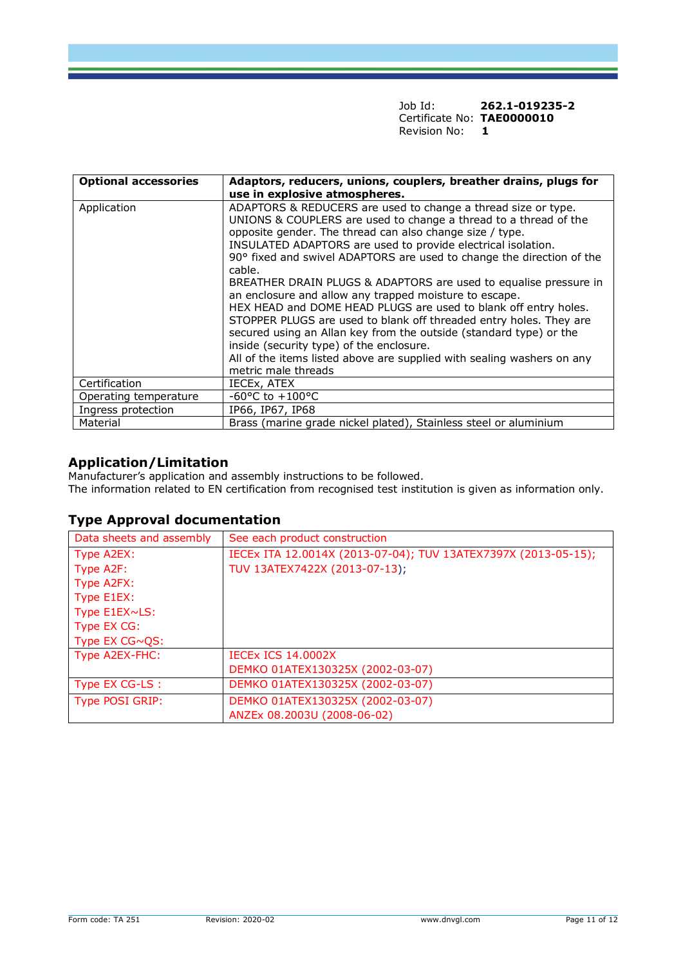Job Id: **262.1-019235-2** Certificate No: **TAE0000010** Revision No: **1**

| <b>Optional accessories</b> | Adaptors, reducers, unions, couplers, breather drains, plugs for                                                                                                                                                                                                                                                                                                                                                                                                                                                                                                                                                                                                                                                                                                                                                                           |
|-----------------------------|--------------------------------------------------------------------------------------------------------------------------------------------------------------------------------------------------------------------------------------------------------------------------------------------------------------------------------------------------------------------------------------------------------------------------------------------------------------------------------------------------------------------------------------------------------------------------------------------------------------------------------------------------------------------------------------------------------------------------------------------------------------------------------------------------------------------------------------------|
|                             | use in explosive atmospheres.                                                                                                                                                                                                                                                                                                                                                                                                                                                                                                                                                                                                                                                                                                                                                                                                              |
| Application                 | ADAPTORS & REDUCERS are used to change a thread size or type.<br>UNIONS & COUPLERS are used to change a thread to a thread of the<br>opposite gender. The thread can also change size / type.<br>INSULATED ADAPTORS are used to provide electrical isolation.<br>90° fixed and swivel ADAPTORS are used to change the direction of the<br>cable.<br>BREATHER DRAIN PLUGS & ADAPTORS are used to equalise pressure in<br>an enclosure and allow any trapped moisture to escape.<br>HEX HEAD and DOME HEAD PLUGS are used to blank off entry holes.<br>STOPPER PLUGS are used to blank off threaded entry holes. They are<br>secured using an Allan key from the outside (standard type) or the<br>inside (security type) of the enclosure.<br>All of the items listed above are supplied with sealing washers on any<br>metric male threads |
| Certification               | IECEx, ATEX                                                                                                                                                                                                                                                                                                                                                                                                                                                                                                                                                                                                                                                                                                                                                                                                                                |
| Operating temperature       | $-60^{\circ}$ C to $+100^{\circ}$ C                                                                                                                                                                                                                                                                                                                                                                                                                                                                                                                                                                                                                                                                                                                                                                                                        |
| Ingress protection          | IP66, IP67, IP68                                                                                                                                                                                                                                                                                                                                                                                                                                                                                                                                                                                                                                                                                                                                                                                                                           |
| Material                    | Brass (marine grade nickel plated), Stainless steel or aluminium                                                                                                                                                                                                                                                                                                                                                                                                                                                                                                                                                                                                                                                                                                                                                                           |

### **Application/Limitation**

Manufacturer's application and assembly instructions to be followed. The information related to EN certification from recognised test institution is given as information only.

## **Type Approval documentation**

| Data sheets and assembly | See each product construction                                  |
|--------------------------|----------------------------------------------------------------|
| Type A2EX:               | IECEX ITA 12.0014X (2013-07-04); TUV 13ATEX7397X (2013-05-15); |
| Type A2F:                | TUV 13ATEX7422X (2013-07-13);                                  |
| Type A2FX:               |                                                                |
| Type E1EX:               |                                                                |
| Type E1EX~LS:            |                                                                |
| Type EX CG:              |                                                                |
| Type $EX CG \sim QS$ :   |                                                                |
| Type A2EX-FHC:           | <b>IECEX ICS 14.0002X</b>                                      |
|                          | DEMKO 01ATEX130325X (2002-03-07)                               |
| Type EX CG-LS:           | DEMKO 01ATEX130325X (2002-03-07)                               |
| <b>Type POSI GRIP:</b>   | DEMKO 01ATEX130325X (2002-03-07)                               |
|                          | ANZEx 08.2003U (2008-06-02)                                    |